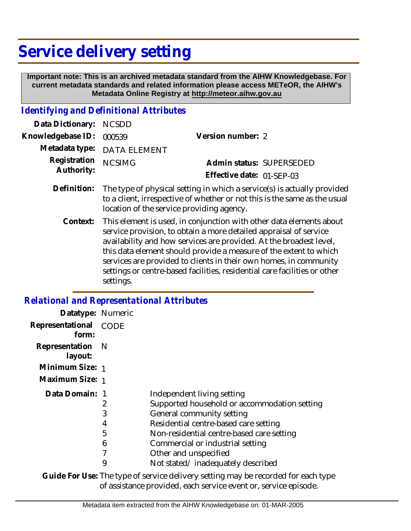## **Service delivery setting**

 **Important note: This is an archived metadata standard from the AIHW Knowledgebase. For current metadata standards and related information please access METeOR, the AIHW's Metadata Online Registry at http://meteor.aihw.gov.au**

## *Identifying and Definitional Attributes*

| Data Dictionary: NCSDD     |                                                                                                                                                      |                           |                          |
|----------------------------|------------------------------------------------------------------------------------------------------------------------------------------------------|---------------------------|--------------------------|
| Knowledgebase ID:          | 000539                                                                                                                                               | Version number: 2         |                          |
|                            | Metadata type: DATA ELEMENT                                                                                                                          |                           |                          |
| Registration<br>Authority: | <b>NCSIMG</b>                                                                                                                                        |                           | Admin status: SUPERSEDED |
|                            |                                                                                                                                                      | Effective date: 01-SEP-03 |                          |
| Definition:                | The type of physical setting in which a service(s) is actually provided<br>to a client, irrespective of whether or not this is the same as the usual |                           |                          |

location of the service providing agency.

This element is used, in conjunction with other data elements about service provision, to obtain a more detailed appraisal of service availability and how services are provided. At the broadest level, this data element should provide a measure of the extent to which services are provided to clients in their own homes, in community settings or centre-based facilities, residential care facilities or other settings. **Context:**

## *Relational and Representational Attributes*

| Datatype: Numeric           |      |                                              |
|-----------------------------|------|----------------------------------------------|
| Representational<br>form:   | CODE |                                              |
| Representation N<br>layout: |      |                                              |
| Minimum Size: 1             |      |                                              |
| Maximum Size: 1             |      |                                              |
| Data Domain: 1              |      | Independent living setting                   |
|                             | 2    | Supported household or accommodation setting |
|                             | 3    | General community setting                    |
|                             | 4    | Residential centre-based care setting        |
|                             | 5    | Non-residential centre-based care setting    |
|                             | 6    | Commercial or industrial setting             |
|                             |      | Other and unspecified                        |
|                             | 9    | Not stated/inadequately described            |

Guide For Use: The type of service delivery setting may be recorded for each type of assistance provided, each service event or, service episode.